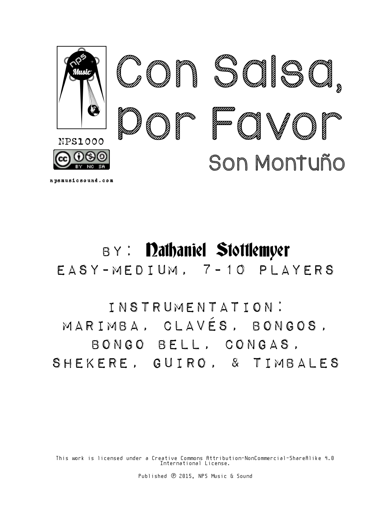

# BY: Dathaniel Stottlemyer

Easy-Medium, 7-10 Players

Instrumentation: Marimba, Clavés, Bongos, Bongo Bell, Congas, Shekere, Guiro, & Timbales

This work is licensed under a Creative Commons Attribution-NonCommercial-ShareAlike 4.0 International License.

Published ℗ 2015, NPS Music & Sound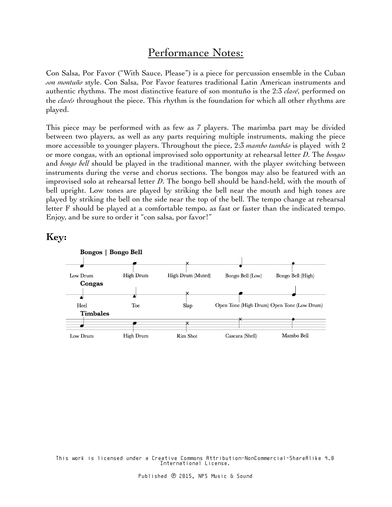## Performance Notes:

Con Salsa, Por Favor ("With Sauce, Please") is a piece for percussion ensemble in the Cuban *son montuño* style. Con Salsa, Por Favor features traditional Latin American instruments and authentic rhythms. The most distinctive feature of son montuño is the 2:3 *clavé*, performed on the *clavés* throughout the piece. This rhythm is the foundation for which all other rhythms are played.

This piece may be performed with as few as 7 players. The marimba part may be divided between two players, as well as any parts requiring multiple instruments, making the piece more accessible to younger players. Throughout the piece, 2:3 *mambo tumbáo* is played with 2 or more congas, with an optional improvised solo opportunity at rehearsal letter *D*. The *bongos* and *bongo bell* should be played in the traditional manner, with the player switching between instruments during the verse and chorus sections. The bongos may also be featured with an improvised solo at rehearsal letter *D*. The bongo bell should be hand-held, with the mouth of bell upright. Low tones are played by striking the bell near the mouth and high tones are played by striking the bell on the side near the top of the bell. The tempo change at rehearsal letter F should be played at a comfortable tempo, as fast or faster than the indicated tempo. Enjoy, and be sure to order it "con salsa, por favor!"

#### **Key:**



This work is licensed under a Creative Commons Attribution-NonCommercial-ShareAlike 4.0 International License.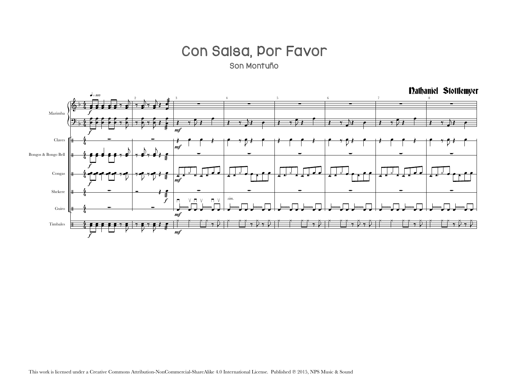## Con Salsa, Por Favor Son Montuño

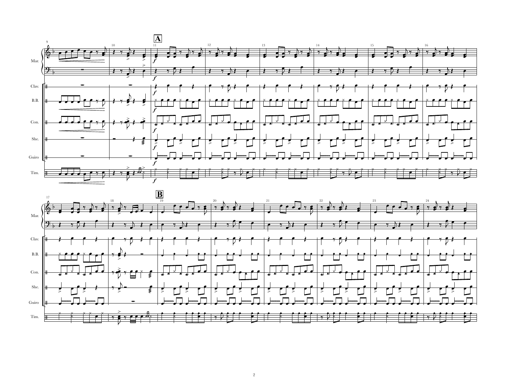

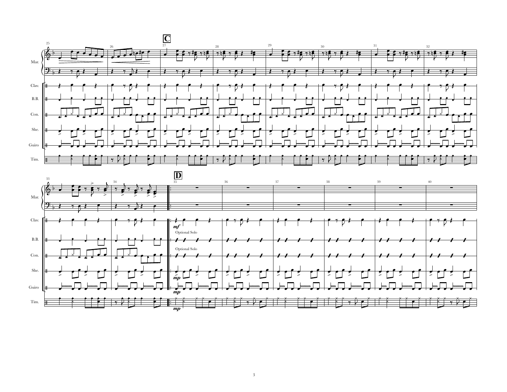

 $\overline{3}$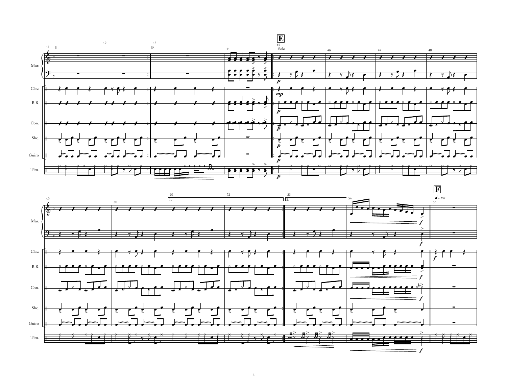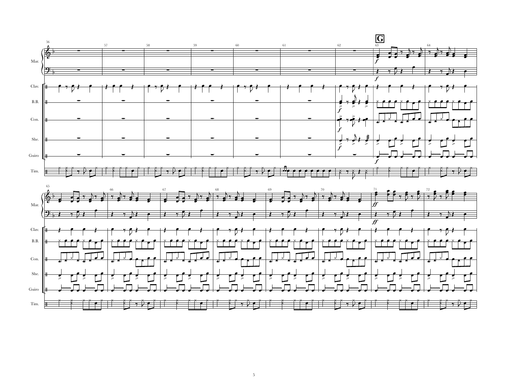

 $\overline{5}$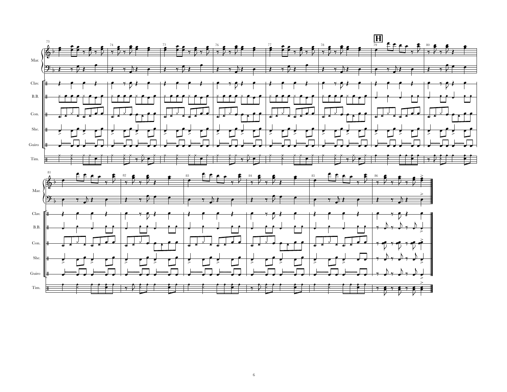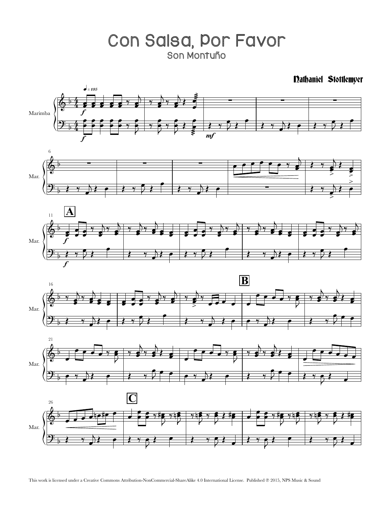Con Salsa, Por Favor Son Montuño

### Dathaniel Stottlemyer











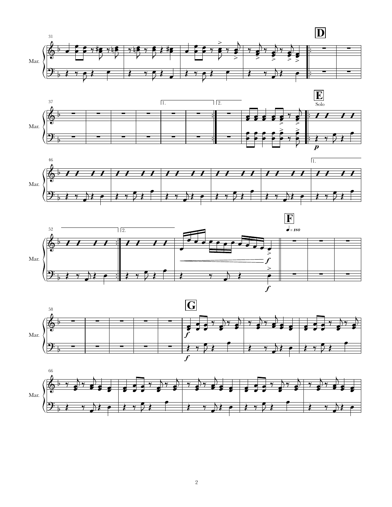









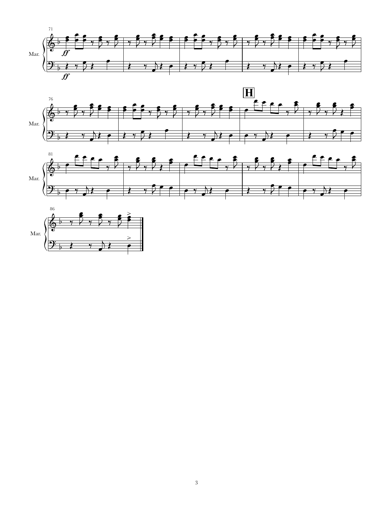





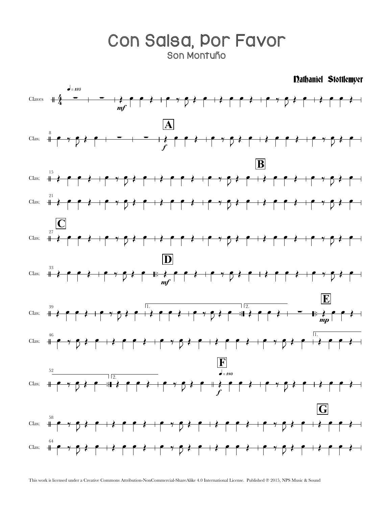

This work is licensed under a Creative Commons Attribution-NonCommercial-ShareAlike 4.0 International License. Published @ 2015, NPS Music & Sound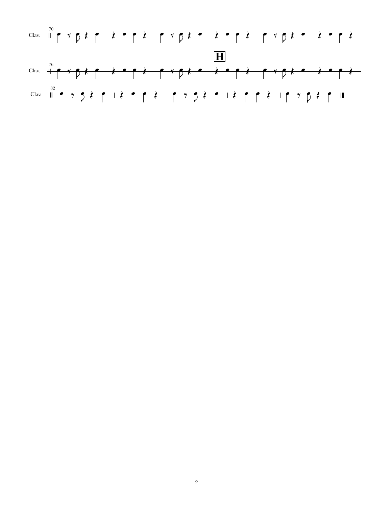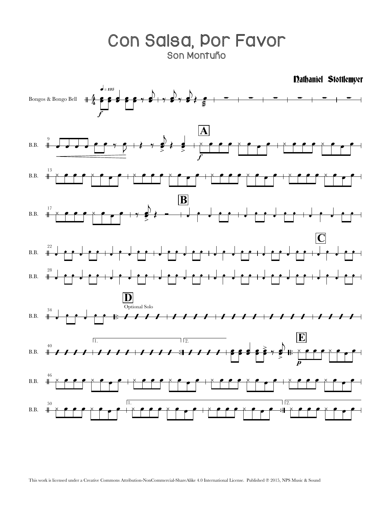## Con Salsa, Por Favor Son Montuño

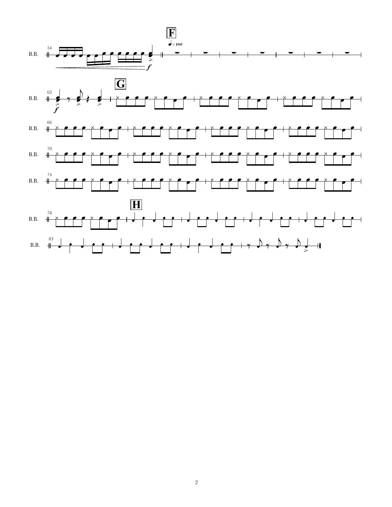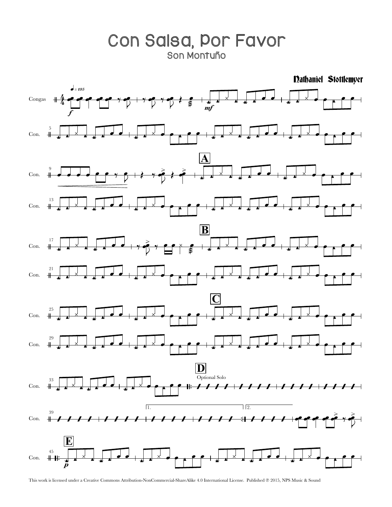

This work is licensed under a Creative Commons Attribution-NonCommercial-ShareAlike 4.0 International License. Published ℗ 2015, NPS Music & Sound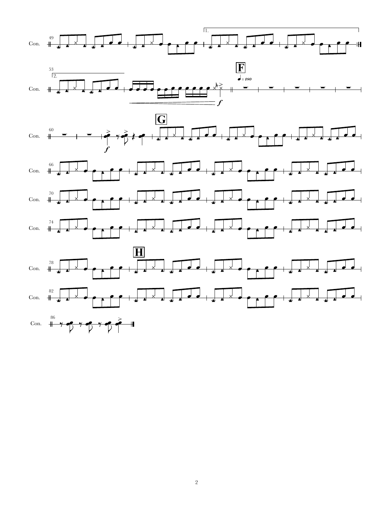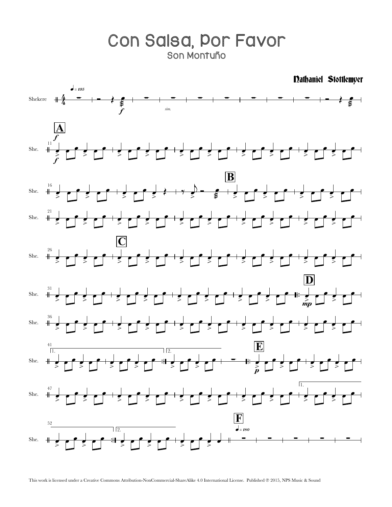

This work is licensed under a Creative Commons Attribution-NonCommercial-ShareAlike 4.0 International License. Published @ 2015, NPS Music & Sound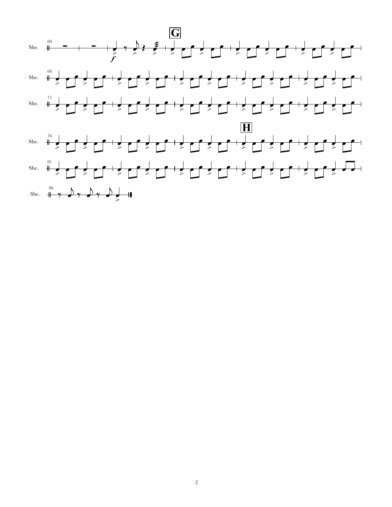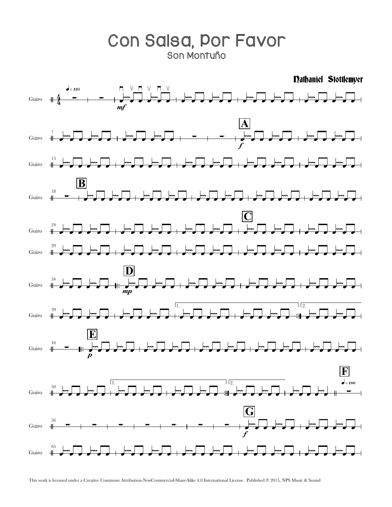



This work is licensed under a Creative Commons Attribution-NonCommercial-ShareAlike 4.0 International License. Published @ 2015, NPS Music & Sound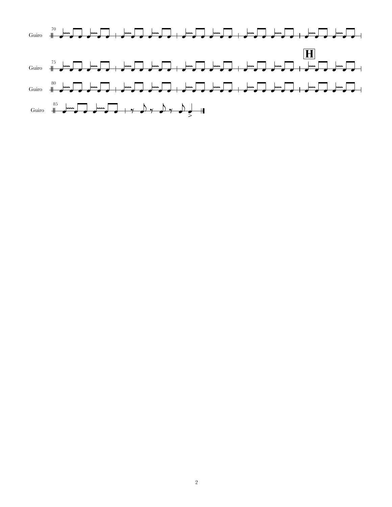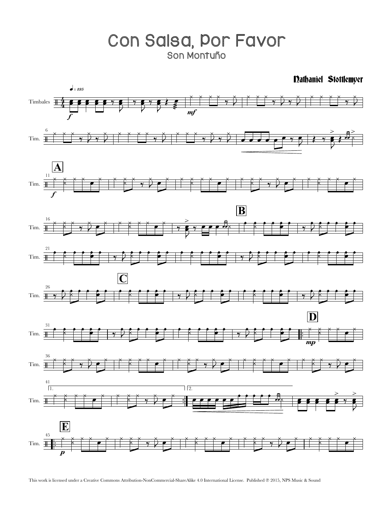Con Salsa, Por Favor Son Montuño